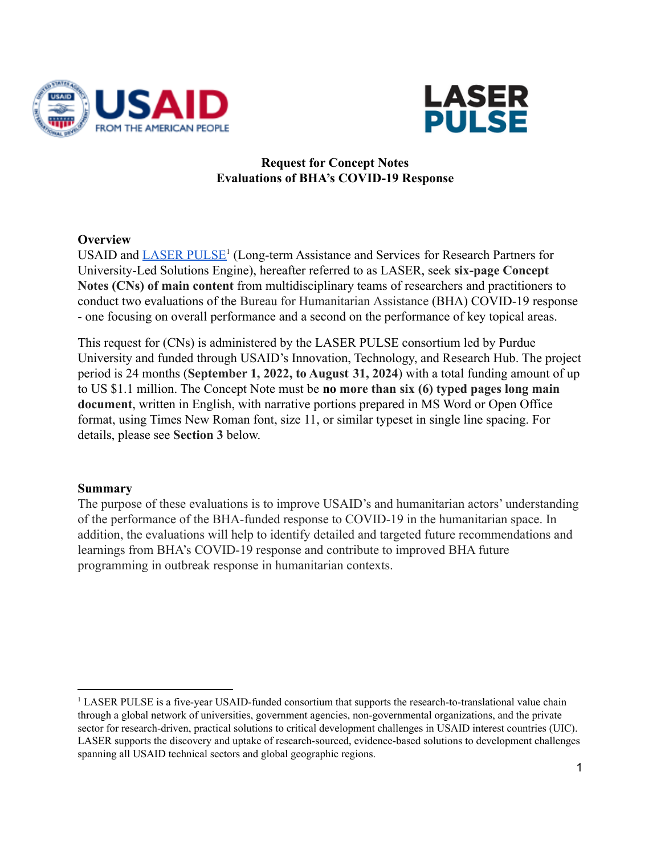



#### **Request for Concept Notes Evaluations of BHA's COVID-19 Response**

#### **Overview**

USAID and [LASER PULSE](https://stemedhub.org/groups/laserpulse)<sup>1</sup> (Long-term Assistance and Services for Research Partners for University-Led Solutions Engine), hereafter referred to as LASER, seek **six-page Concept Notes (CNs) of main content** from multidisciplinary teams of researchers and practitioners to conduct two evaluations of the Bureau for Humanitarian Assistance (BHA) COVID-19 response - one focusing on overall performance and a second on the performance of key topical areas.

This request for (CNs) is administered by the LASER PULSE consortium led by Purdue University and funded through USAID's Innovation, Technology, and Research Hub. The project period is 24 months (**September 1, 2022, to August 31, 2024**) with a total funding amount of up to US \$1.1 million. The Concept Note must be **no more than six (6) typed pages long main document**, written in English, with narrative portions prepared in MS Word or Open Office format, using Times New Roman font, size 11, or similar typeset in single line spacing. For details, please see **Section 3** below.

#### **Summary**

The purpose of these evaluations is to improve USAID's and humanitarian actors' understanding of the performance of the BHA-funded response to COVID-19 in the humanitarian space. In addition, the evaluations will help to identify detailed and targeted future recommendations and learnings from BHA's COVID-19 response and contribute to improved BHA future programming in outbreak response in humanitarian contexts.

<sup>&</sup>lt;sup>1</sup> LASER PULSE is a five-year USAID-funded consortium that supports the research-to-translational value chain through a global network of universities, government agencies, non-governmental organizations, and the private sector for research-driven, practical solutions to critical development challenges in USAID interest countries (UIC). LASER supports the discovery and uptake of research-sourced, evidence-based solutions to development challenges spanning all USAID technical sectors and global geographic regions.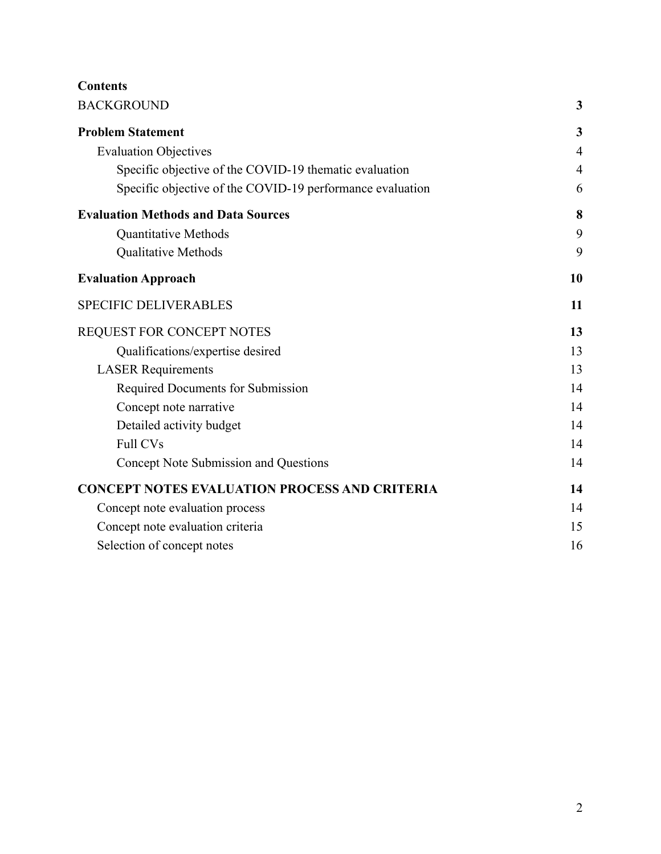# **Contents**

| <b>BACKGROUND</b>                                         |                |
|-----------------------------------------------------------|----------------|
| <b>Problem Statement</b>                                  | $\mathbf{3}$   |
| <b>Evaluation Objectives</b>                              | $\overline{4}$ |
| Specific objective of the COVID-19 thematic evaluation    | $\overline{4}$ |
| Specific objective of the COVID-19 performance evaluation | 6              |
| <b>Evaluation Methods and Data Sources</b>                | 8              |
| <b>Quantitative Methods</b>                               | 9              |
| Qualitative Methods                                       | 9              |
| <b>Evaluation Approach</b>                                | 10             |
| <b>SPECIFIC DELIVERABLES</b>                              | 11             |
| REQUEST FOR CONCEPT NOTES                                 | 13             |
| Qualifications/expertise desired                          | 13             |
| <b>LASER</b> Requirements                                 | 13             |
| Required Documents for Submission                         | 14             |
| Concept note narrative                                    | 14             |
| Detailed activity budget                                  | 14             |
| <b>Full CVs</b>                                           | 14             |
| Concept Note Submission and Questions                     | 14             |
| <b>CONCEPT NOTES EVALUATION PROCESS AND CRITERIA</b>      | 14             |
| Concept note evaluation process                           | 14             |
| Concept note evaluation criteria                          | 15             |
| Selection of concept notes                                | 16             |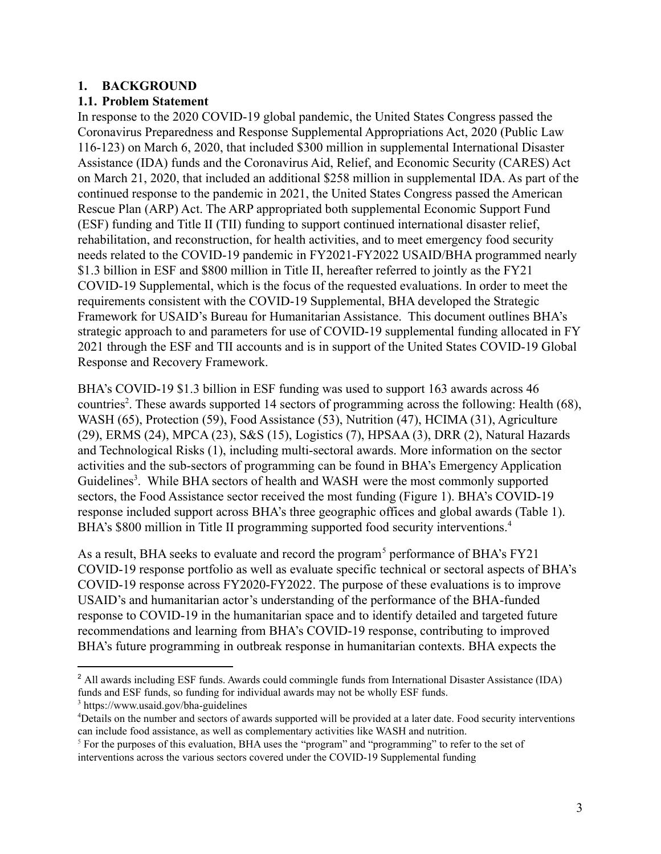#### <span id="page-2-0"></span>**1. BACKGROUND**

#### <span id="page-2-1"></span>**1.1. Problem Statement**

In response to the 2020 COVID-19 global pandemic, the United States Congress passed the Coronavirus Preparedness and Response Supplemental Appropriations Act, 2020 (Public Law 116-123) on March 6, 2020, that included \$300 million in supplemental International Disaster Assistance (IDA) funds and the Coronavirus Aid, Relief, and Economic Security (CARES) Act on March 21, 2020, that included an additional \$258 million in supplemental IDA. As part of the continued response to the pandemic in 2021, the United States Congress passed the American Rescue Plan (ARP) Act. The ARP appropriated both supplemental Economic Support Fund (ESF) funding and Title II (TII) funding to support continued international disaster relief, rehabilitation, and reconstruction, for health activities, and to meet emergency food security needs related to the COVID-19 pandemic in FY2021-FY2022 USAID/BHA programmed nearly \$1.3 billion in ESF and \$800 million in Title II, hereafter referred to jointly as the FY21 COVID-19 Supplemental, which is the focus of the requested evaluations. In order to meet the requirements consistent with the COVID-19 Supplemental, BHA developed the Strategic Framework for USAID's Bureau for Humanitarian Assistance. This document outlines BHA's strategic approach to and parameters for use of COVID-19 supplemental funding allocated in FY 2021 through the ESF and TII accounts and is in support of the United States COVID-19 Global Response and Recovery Framework.

BHA's COVID-19 \$1.3 billion in ESF funding was used to support 163 awards across 46 countries<sup>2</sup>. These awards supported 14 sectors of programming across the following: Health (68), WASH (65), Protection (59), Food Assistance (53), Nutrition (47), HCIMA (31), Agriculture (29), ERMS (24), MPCA (23), S&S (15), Logistics (7), HPSAA (3), DRR (2), Natural Hazards and Technological Risks (1), including multi-sectoral awards. More information on the sector activities and the sub-sectors of programming can be found in BHA's Emergency Application Guidelines<sup>3</sup>. While BHA sectors of health and WASH were the most commonly supported sectors, the Food Assistance sector received the most funding (Figure 1). BHA's COVID-19 response included support across BHA's three geographic offices and global awards (Table 1). BHA's \$800 million in Title II programming supported food security interventions.<sup>4</sup>

As a result, BHA seeks to evaluate and record the program<sup>5</sup> performance of BHA's FY21 COVID-19 response portfolio as well as evaluate specific technical or sectoral aspects of BHA's COVID-19 response across FY2020-FY2022. The purpose of these evaluations is to improve USAID's and humanitarian actor's understanding of the performance of the BHA-funded response to COVID-19 in the humanitarian space and to identify detailed and targeted future recommendations and learning from BHA's COVID-19 response, contributing to improved BHA's future programming in outbreak response in humanitarian contexts. BHA expects the

<sup>&</sup>lt;sup>2</sup> All awards including ESF funds. Awards could commingle funds from International Disaster Assistance (IDA) funds and ESF funds, so funding for individual awards may not be wholly ESF funds.

<sup>3</sup> https://www.usaid.gov/bha-guidelines

<sup>4</sup>Details on the number and sectors of awards supported will be provided at a later date. Food security interventions can include food assistance, as well as complementary activities like WASH and nutrition.

<sup>5</sup> For the purposes of this evaluation, BHA uses the "program" and "programming" to refer to the set of interventions across the various sectors covered under the COVID-19 Supplemental funding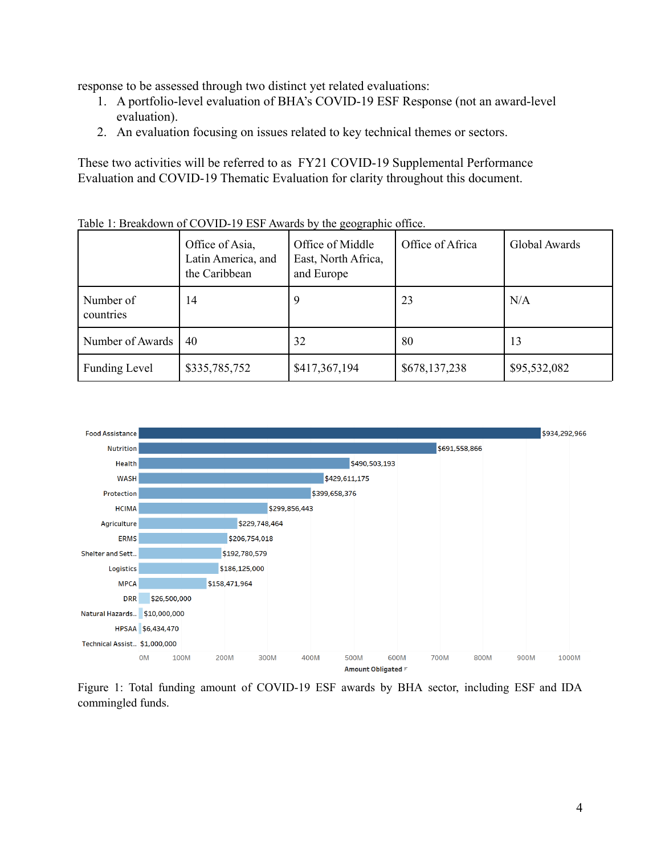response to be assessed through two distinct yet related evaluations:

- 1. A portfolio-level evaluation of BHA's COVID-19 ESF Response (not an award-level evaluation).
- 2. An evaluation focusing on issues related to key technical themes or sectors.

These two activities will be referred to as FY21 COVID-19 Supplemental Performance Evaluation and COVID-19 Thematic Evaluation for clarity throughout this document.

|                        | Office of Asia,<br>Latin America, and<br>the Caribbean | Office of Middle<br>East, North Africa,<br>and Europe | Office of Africa | Global Awards |
|------------------------|--------------------------------------------------------|-------------------------------------------------------|------------------|---------------|
| Number of<br>countries | 14                                                     | 9                                                     | 23               | N/A           |
| Number of Awards       | 40                                                     | 32                                                    | 80               | 13            |
| <b>Funding Level</b>   | \$335,785,752                                          | \$417,367,194                                         | \$678,137,238    | \$95,532,082  |

Table 1: Breakdown of COVID-19 ESF Awards by the geographic office.



Figure 1: Total funding amount of COVID-19 ESF awards by BHA sector, including ESF and IDA commingled funds.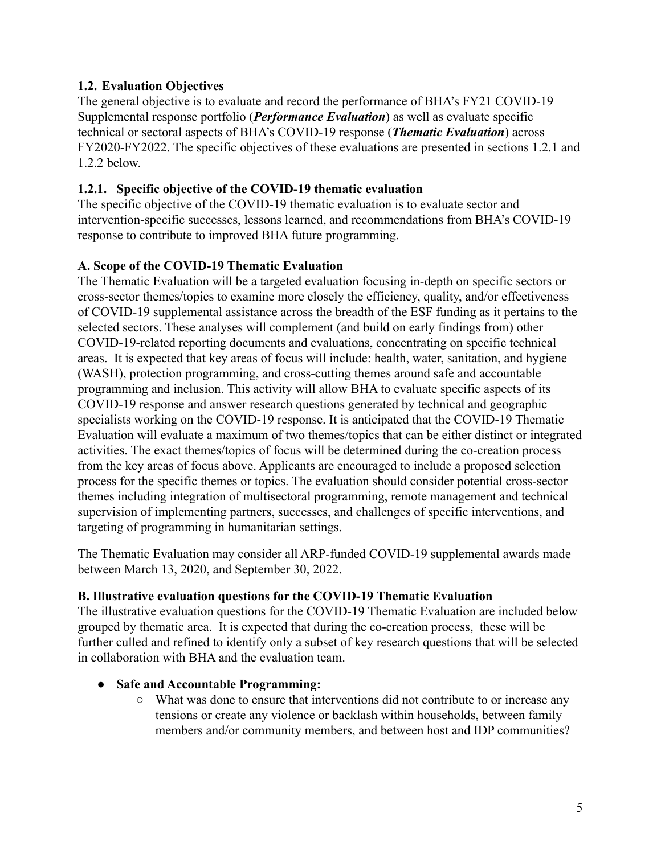# <span id="page-4-0"></span>**1.2. Evaluation Objectives**

The general objective is to evaluate and record the performance of BHA's FY21 COVID-19 Supplemental response portfolio (*Performance Evaluation*) as well as evaluate specific technical or sectoral aspects of BHA's COVID-19 response (*Thematic Evaluation*) across FY2020-FY2022. The specific objectives of these evaluations are presented in sections 1.2.1 and 1.2.2 below.

#### <span id="page-4-1"></span>**1.2.1. Specific objective of the COVID-19 thematic evaluation**

The specific objective of the COVID-19 thematic evaluation is to evaluate sector and intervention-specific successes, lessons learned, and recommendations from BHA's COVID-19 response to contribute to improved BHA future programming.

# **A. Scope of the COVID-19 Thematic Evaluation**

The Thematic Evaluation will be a targeted evaluation focusing in-depth on specific sectors or cross-sector themes/topics to examine more closely the efficiency, quality, and/or effectiveness of COVID-19 supplemental assistance across the breadth of the ESF funding as it pertains to the selected sectors. These analyses will complement (and build on early findings from) other COVID-19-related reporting documents and evaluations, concentrating on specific technical areas. It is expected that key areas of focus will include: health, water, sanitation, and hygiene (WASH), protection programming, and cross-cutting themes around safe and accountable programming and inclusion. This activity will allow BHA to evaluate specific aspects of its COVID-19 response and answer research questions generated by technical and geographic specialists working on the COVID-19 response. It is anticipated that the COVID-19 Thematic Evaluation will evaluate a maximum of two themes/topics that can be either distinct or integrated activities. The exact themes/topics of focus will be determined during the co-creation process from the key areas of focus above. Applicants are encouraged to include a proposed selection process for the specific themes or topics. The evaluation should consider potential cross-sector themes including integration of multisectoral programming, remote management and technical supervision of implementing partners, successes, and challenges of specific interventions, and targeting of programming in humanitarian settings.

The Thematic Evaluation may consider all ARP-funded COVID-19 supplemental awards made between March 13, 2020, and September 30, 2022.

# **B. Illustrative evaluation questions for the COVID-19 Thematic Evaluation**

The illustrative evaluation questions for the COVID-19 Thematic Evaluation are included below grouped by thematic area. It is expected that during the co-creation process, these will be further culled and refined to identify only a subset of key research questions that will be selected in collaboration with BHA and the evaluation team.

#### ● **Safe and Accountable Programming:**

○ What was done to ensure that interventions did not contribute to or increase any tensions or create any violence or backlash within households, between family members and/or community members, and between host and IDP communities?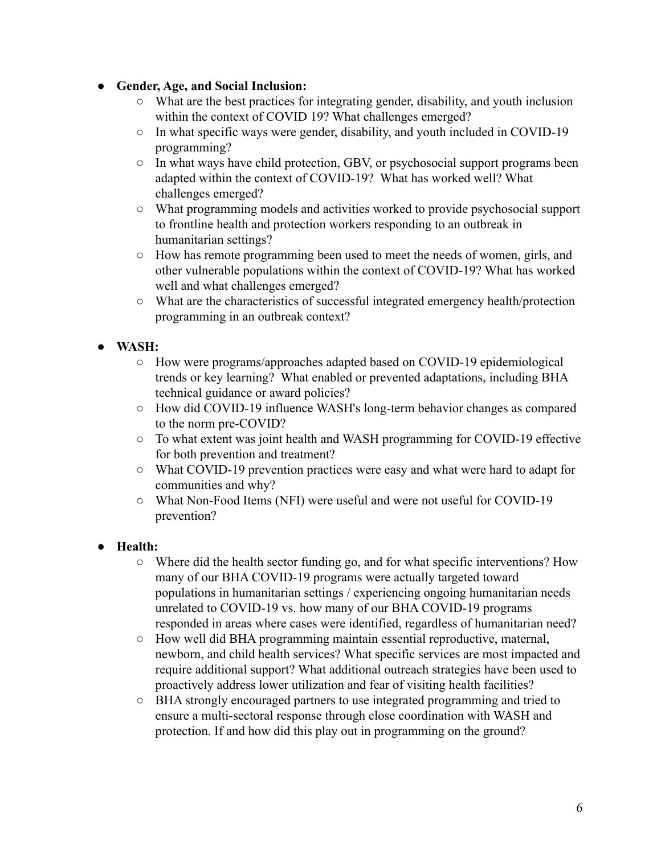### ● **Gender, Age, and Social Inclusion:**

- **○** What are the best practices for integrating gender, disability, and youth inclusion within the context of COVID 19? What challenges emerged?
- In what specific ways were gender, disability, and youth included in COVID-19 programming?
- In what ways have child protection, GBV, or psychosocial support programs been adapted within the context of COVID-19? What has worked well? What challenges emerged?
- What programming models and activities worked to provide psychosocial support to frontline health and protection workers responding to an outbreak in humanitarian settings?
- How has remote programming been used to meet the needs of women, girls, and other vulnerable populations within the context of COVID-19? What has worked well and what challenges emerged?
- What are the characteristics of successful integrated emergency health/protection programming in an outbreak context?
- **WASH:**
	- How were programs/approaches adapted based on COVID-19 epidemiological trends or key learning? What enabled or prevented adaptations, including BHA technical guidance or award policies?
	- How did COVID-19 influence WASH's long-term behavior changes as compared to the norm pre-COVID?
	- To what extent was joint health and WASH programming for COVID-19 effective for both prevention and treatment?
	- What COVID-19 prevention practices were easy and what were hard to adapt for communities and why?
	- What Non-Food Items (NFI) were useful and were not useful for COVID-19 prevention?

# ● **Health:**

- Where did the health sector funding go, and for what specific interventions? How many of our BHA COVID-19 programs were actually targeted toward populations in humanitarian settings / experiencing ongoing humanitarian needs unrelated to COVID-19 vs. how many of our BHA COVID-19 programs responded in areas where cases were identified, regardless of humanitarian need?
- How well did BHA programming maintain essential reproductive, maternal, newborn, and child health services? What specific services are most impacted and require additional support? What additional outreach strategies have been used to proactively address lower utilization and fear of visiting health facilities?
- BHA strongly encouraged partners to use integrated programming and tried to ensure a multi-sectoral response through close coordination with WASH and protection. If and how did this play out in programming on the ground?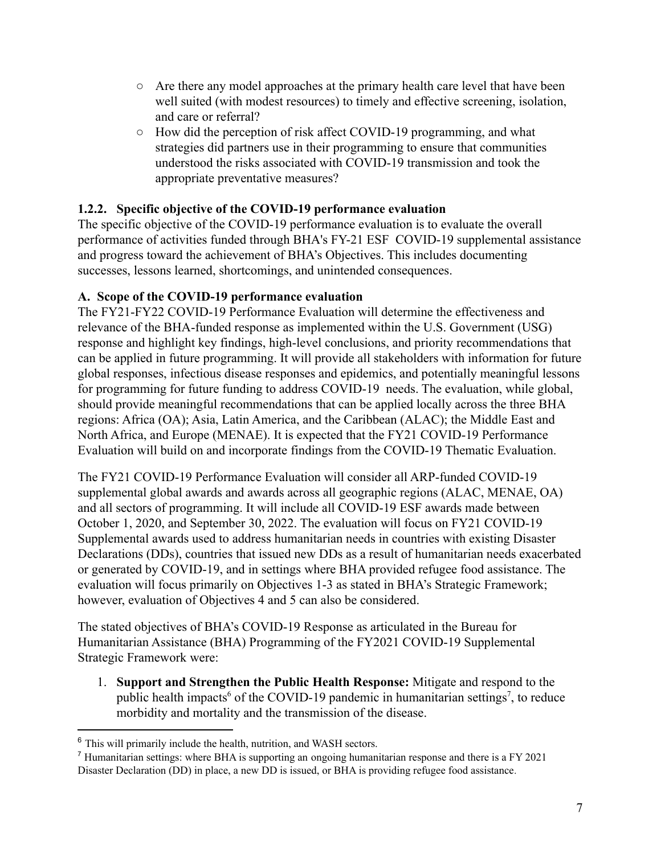- $\circ$  Are there any model approaches at the primary health care level that have been well suited (with modest resources) to timely and effective screening, isolation, and care or referral?
- How did the perception of risk affect COVID-19 programming, and what strategies did partners use in their programming to ensure that communities understood the risks associated with COVID-19 transmission and took the appropriate preventative measures?

### <span id="page-6-0"></span>**1.2.2. Specific objective of the COVID-19 performance evaluation**

The specific objective of the COVID-19 performance evaluation is to evaluate the overall performance of activities funded through BHA's FY-21 ESF COVID-19 supplemental assistance and progress toward the achievement of BHA's Objectives. This includes documenting successes, lessons learned, shortcomings, and unintended consequences.

### **A. Scope of the COVID-19 performance evaluation**

The FY21-FY22 COVID-19 Performance Evaluation will determine the effectiveness and relevance of the BHA-funded response as implemented within the U.S. Government (USG) response and highlight key findings, high-level conclusions, and priority recommendations that can be applied in future programming. It will provide all stakeholders with information for future global responses, infectious disease responses and epidemics, and potentially meaningful lessons for programming for future funding to address COVID-19 needs. The evaluation, while global, should provide meaningful recommendations that can be applied locally across the three BHA regions: Africa (OA); Asia, Latin America, and the Caribbean (ALAC); the Middle East and North Africa, and Europe (MENAE). It is expected that the FY21 COVID-19 Performance Evaluation will build on and incorporate findings from the COVID-19 Thematic Evaluation.

The FY21 COVID-19 Performance Evaluation will consider all ARP-funded COVID-19 supplemental global awards and awards across all geographic regions (ALAC, MENAE, OA) and all sectors of programming. It will include all COVID-19 ESF awards made between October 1, 2020, and September 30, 2022. The evaluation will focus on FY21 COVID-19 Supplemental awards used to address humanitarian needs in countries with existing Disaster Declarations (DDs), countries that issued new DDs as a result of humanitarian needs exacerbated or generated by COVID-19, and in settings where BHA provided refugee food assistance. The evaluation will focus primarily on Objectives 1-3 as stated in BHA's Strategic Framework; however, evaluation of Objectives 4 and 5 can also be considered.

The stated objectives of BHA's COVID-19 Response as articulated in the Bureau for Humanitarian Assistance (BHA) Programming of the FY2021 COVID-19 Supplemental Strategic Framework were:

1. **Support and Strengthen the Public Health Response:** Mitigate and respond to the public health impacts<sup>6</sup> of the COVID-19 pandemic in humanitarian settings<sup>7</sup>, to reduce morbidity and mortality and the transmission of the disease.

<sup>6</sup> This will primarily include the health, nutrition, and WASH sectors.

<sup>7</sup> Humanitarian settings: where BHA is supporting an ongoing humanitarian response and there is a FY 2021 Disaster Declaration (DD) in place, a new DD is issued, or BHA is providing refugee food assistance*.*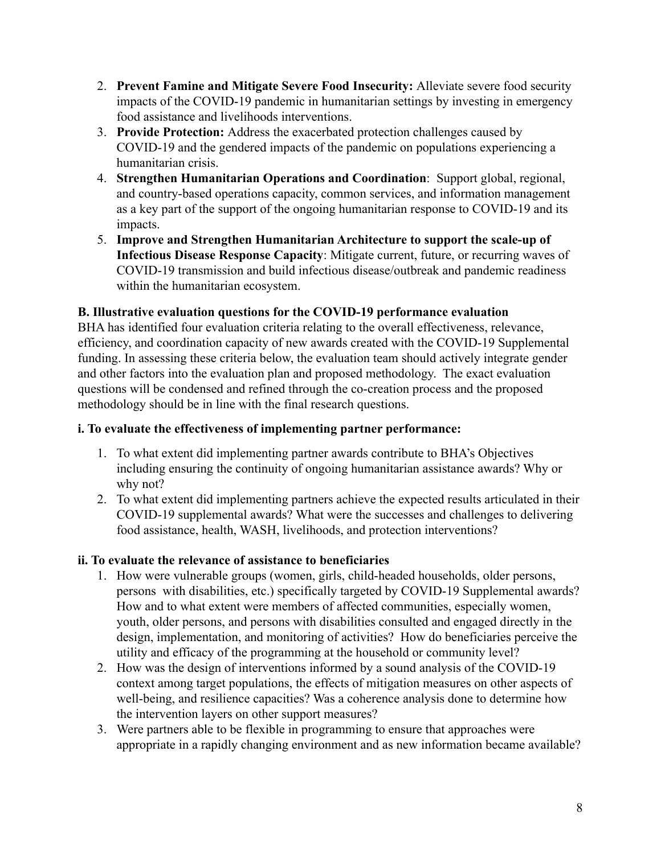- 2. **Prevent Famine and Mitigate Severe Food Insecurity:** Alleviate severe food security impacts of the COVID-19 pandemic in humanitarian settings by investing in emergency food assistance and livelihoods interventions.
- 3. **Provide Protection:** Address the exacerbated protection challenges caused by COVID-19 and the gendered impacts of the pandemic on populations experiencing a humanitarian crisis.
- 4. **Strengthen Humanitarian Operations and Coordination**: Support global, regional, and country-based operations capacity, common services, and information management as a key part of the support of the ongoing humanitarian response to COVID-19 and its impacts.
- 5. **Improve and Strengthen Humanitarian Architecture to support the scale-up of Infectious Disease Response Capacity**: Mitigate current, future, or recurring waves of COVID-19 transmission and build infectious disease/outbreak and pandemic readiness within the humanitarian ecosystem.

### **B. Illustrative evaluation questions for the COVID-19 performance evaluation**

BHA has identified four evaluation criteria relating to the overall effectiveness, relevance, efficiency, and coordination capacity of new awards created with the COVID-19 Supplemental funding. In assessing these criteria below, the evaluation team should actively integrate gender and other factors into the evaluation plan and proposed methodology. The exact evaluation questions will be condensed and refined through the co-creation process and the proposed methodology should be in line with the final research questions.

#### **i. To evaluate the effectiveness of implementing partner performance:**

- 1. To what extent did implementing partner awards contribute to BHA's Objectives including ensuring the continuity of ongoing humanitarian assistance awards? Why or why not?
- 2. To what extent did implementing partners achieve the expected results articulated in their COVID-19 supplemental awards? What were the successes and challenges to delivering food assistance, health, WASH, livelihoods, and protection interventions?

# **ii. To evaluate the relevance of assistance to beneficiaries**

- 1. How were vulnerable groups (women, girls, child-headed households, older persons, persons with disabilities, etc.) specifically targeted by COVID-19 Supplemental awards? How and to what extent were members of affected communities, especially women, youth, older persons, and persons with disabilities consulted and engaged directly in the design, implementation, and monitoring of activities? How do beneficiaries perceive the utility and efficacy of the programming at the household or community level?
- 2. How was the design of interventions informed by a sound analysis of the COVID-19 context among target populations, the effects of mitigation measures on other aspects of well-being, and resilience capacities? Was a coherence analysis done to determine how the intervention layers on other support measures?
- 3. Were partners able to be flexible in programming to ensure that approaches were appropriate in a rapidly changing environment and as new information became available?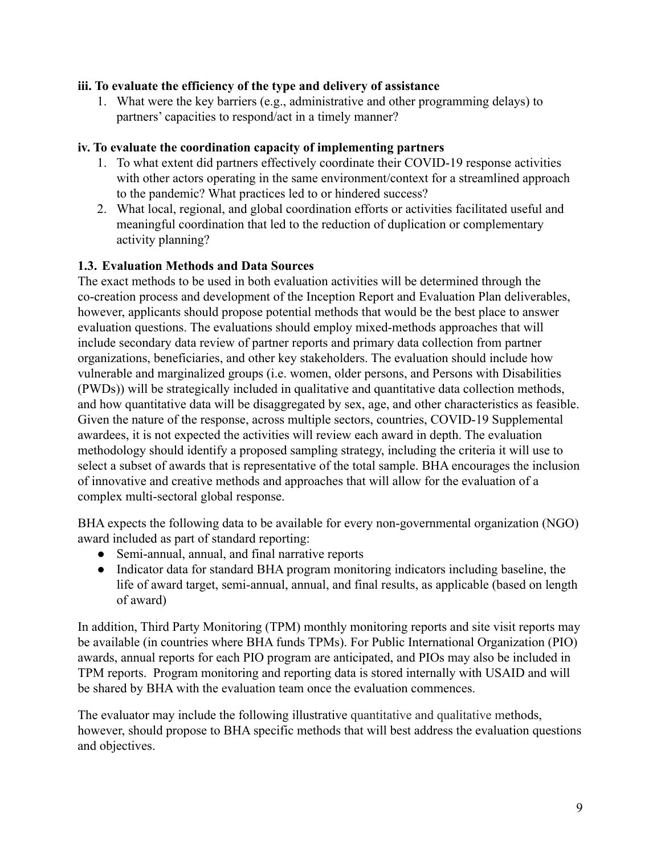#### **iii. To evaluate the efficiency of the type and delivery of assistance**

1. What were the key barriers (e.g., administrative and other programming delays) to partners' capacities to respond/act in a timely manner?

#### **iv. To evaluate the coordination capacity of implementing partners**

- 1. To what extent did partners effectively coordinate their COVID-19 response activities with other actors operating in the same environment/context for a streamlined approach to the pandemic? What practices led to or hindered success?
- 2. What local, regional, and global coordination efforts or activities facilitated useful and meaningful coordination that led to the reduction of duplication or complementary activity planning?

### <span id="page-8-0"></span>**1.3. Evaluation Methods and Data Sources**

The exact methods to be used in both evaluation activities will be determined through the co-creation process and development of the Inception Report and Evaluation Plan deliverables, however, applicants should propose potential methods that would be the best place to answer evaluation questions. The evaluations should employ mixed-methods approaches that will include secondary data review of partner reports and primary data collection from partner organizations, beneficiaries, and other key stakeholders. The evaluation should include how vulnerable and marginalized groups (i.e. women, older persons, and Persons with Disabilities (PWDs)) will be strategically included in qualitative and quantitative data collection methods, and how quantitative data will be disaggregated by sex, age, and other characteristics as feasible. Given the nature of the response, across multiple sectors, countries, COVID-19 Supplemental awardees, it is not expected the activities will review each award in depth. The evaluation methodology should identify a proposed sampling strategy, including the criteria it will use to select a subset of awards that is representative of the total sample. BHA encourages the inclusion of innovative and creative methods and approaches that will allow for the evaluation of a complex multi-sectoral global response.

BHA expects the following data to be available for every non-governmental organization (NGO) award included as part of standard reporting:

- Semi-annual, annual, and final narrative reports
- Indicator data for standard BHA program monitoring indicators including baseline, the life of award target, semi-annual, annual, and final results, as applicable (based on length of award)

In addition, Third Party Monitoring (TPM) monthly monitoring reports and site visit reports may be available (in countries where BHA funds TPMs). For Public International Organization (PIO) awards, annual reports for each PIO program are anticipated, and PIOs may also be included in TPM reports. Program monitoring and reporting data is stored internally with USAID and will be shared by BHA with the evaluation team once the evaluation commences.

The evaluator may include the following illustrative quantitative and qualitative methods, however, should propose to BHA specific methods that will best address the evaluation questions and objectives.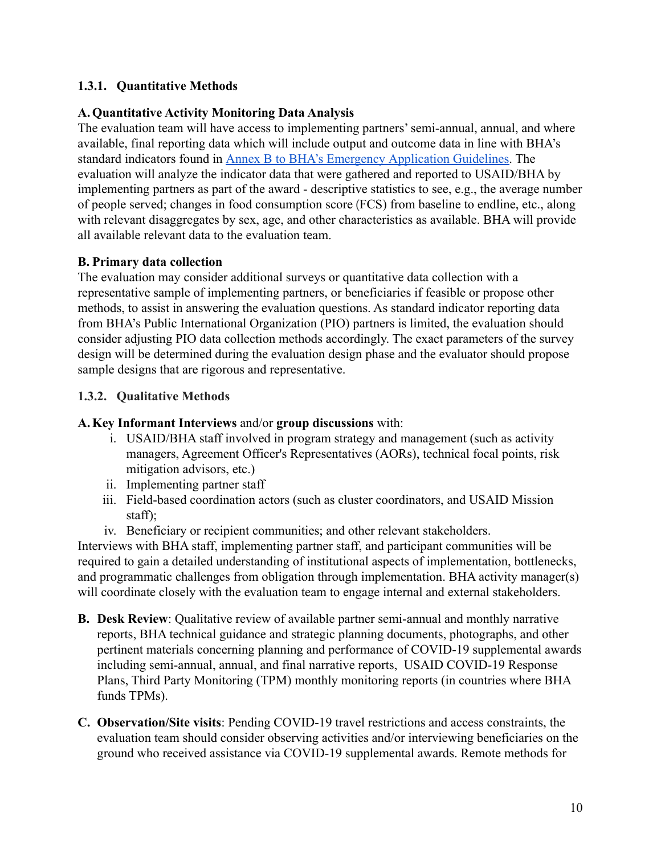### <span id="page-9-0"></span>**1.3.1. Quantitative Methods**

#### **A.Quantitative Activity Monitoring Data Analysis**

The evaluation team will have access to implementing partners' semi-annual, annual, and where available, final reporting data which will include output and outcome data in line with BHA's standard indicators found in [Annex B to BHA's Emergency](https://www.usaid.gov/humanitarian-assistance/partner-with-us/bha-emergency-guidelines) Application Guidelines. The evaluation will analyze the indicator data that were gathered and reported to USAID/BHA by implementing partners as part of the award - descriptive statistics to see, e.g., the average number of people served; changes in food consumption score (FCS) from baseline to endline, etc., along with relevant disaggregates by sex, age, and other characteristics as available. BHA will provide all available relevant data to the evaluation team.

### **B. Primary data collection**

The evaluation may consider additional surveys or quantitative data collection with a representative sample of implementing partners, or beneficiaries if feasible or propose other methods, to assist in answering the evaluation questions. As standard indicator reporting data from BHA's Public International Organization (PIO) partners is limited, the evaluation should consider adjusting PIO data collection methods accordingly. The exact parameters of the survey design will be determined during the evaluation design phase and the evaluator should propose sample designs that are rigorous and representative.

### <span id="page-9-1"></span>**1.3.2. Qualitative Methods**

#### **A.Key Informant Interviews** and/or **group discussions** with:

- i. USAID/BHA staff involved in program strategy and management (such as activity managers, Agreement Officer's Representatives (AORs), technical focal points, risk mitigation advisors, etc.)
- ii. Implementing partner staff
- iii. Field-based coordination actors (such as cluster coordinators, and USAID Mission staff);
- iv. Beneficiary or recipient communities; and other relevant stakeholders.

Interviews with BHA staff, implementing partner staff, and participant communities will be required to gain a detailed understanding of institutional aspects of implementation, bottlenecks, and programmatic challenges from obligation through implementation. BHA activity manager(s) will coordinate closely with the evaluation team to engage internal and external stakeholders.

- **B. Desk Review**: Qualitative review of available partner semi-annual and monthly narrative reports, BHA technical guidance and strategic planning documents, photographs, and other pertinent materials concerning planning and performance of COVID-19 supplemental awards including semi-annual, annual, and final narrative reports, USAID COVID-19 Response Plans, Third Party Monitoring (TPM) monthly monitoring reports (in countries where BHA funds TPMs).
- **C. Observation/Site visits**: Pending COVID-19 travel restrictions and access constraints, the evaluation team should consider observing activities and/or interviewing beneficiaries on the ground who received assistance via COVID-19 supplemental awards. Remote methods for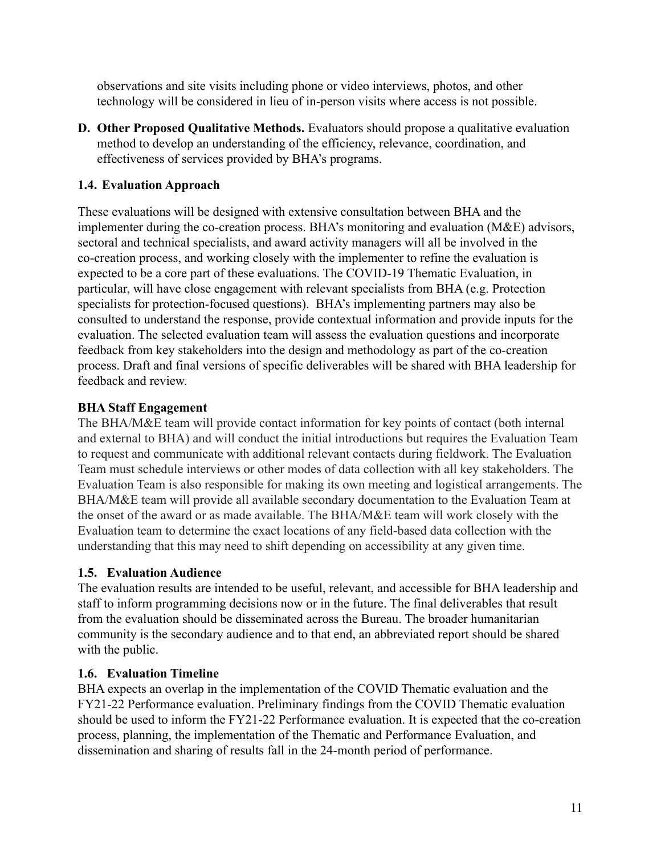observations and site visits including phone or video interviews, photos, and other technology will be considered in lieu of in-person visits where access is not possible.

**D. Other Proposed Qualitative Methods.** Evaluators should propose a qualitative evaluation method to develop an understanding of the efficiency, relevance, coordination, and effectiveness of services provided by BHA's programs.

# <span id="page-10-0"></span>**1.4. Evaluation Approach**

These evaluations will be designed with extensive consultation between BHA and the implementer during the co-creation process. BHA's monitoring and evaluation (M&E) advisors, sectoral and technical specialists, and award activity managers will all be involved in the co-creation process, and working closely with the implementer to refine the evaluation is expected to be a core part of these evaluations. The COVID-19 Thematic Evaluation, in particular, will have close engagement with relevant specialists from BHA (e.g. Protection specialists for protection-focused questions). BHA's implementing partners may also be consulted to understand the response, provide contextual information and provide inputs for the evaluation. The selected evaluation team will assess the evaluation questions and incorporate feedback from key stakeholders into the design and methodology as part of the co-creation process. Draft and final versions of specific deliverables will be shared with BHA leadership for feedback and review.

# **BHA Staff Engagement**

The BHA/M&E team will provide contact information for key points of contact (both internal and external to BHA) and will conduct the initial introductions but requires the Evaluation Team to request and communicate with additional relevant contacts during fieldwork. The Evaluation Team must schedule interviews or other modes of data collection with all key stakeholders. The Evaluation Team is also responsible for making its own meeting and logistical arrangements. The BHA/M&E team will provide all available secondary documentation to the Evaluation Team at the onset of the award or as made available. The BHA/M&E team will work closely with the Evaluation team to determine the exact locations of any field-based data collection with the understanding that this may need to shift depending on accessibility at any given time.

# **1.5. Evaluation Audience**

The evaluation results are intended to be useful, relevant, and accessible for BHA leadership and staff to inform programming decisions now or in the future. The final deliverables that result from the evaluation should be disseminated across the Bureau. The broader humanitarian community is the secondary audience and to that end, an abbreviated report should be shared with the public.

# **1.6. Evaluation Timeline**

BHA expects an overlap in the implementation of the COVID Thematic evaluation and the FY21-22 Performance evaluation. Preliminary findings from the COVID Thematic evaluation should be used to inform the FY21-22 Performance evaluation. It is expected that the co-creation process, planning, the implementation of the Thematic and Performance Evaluation, and dissemination and sharing of results fall in the 24-month period of performance.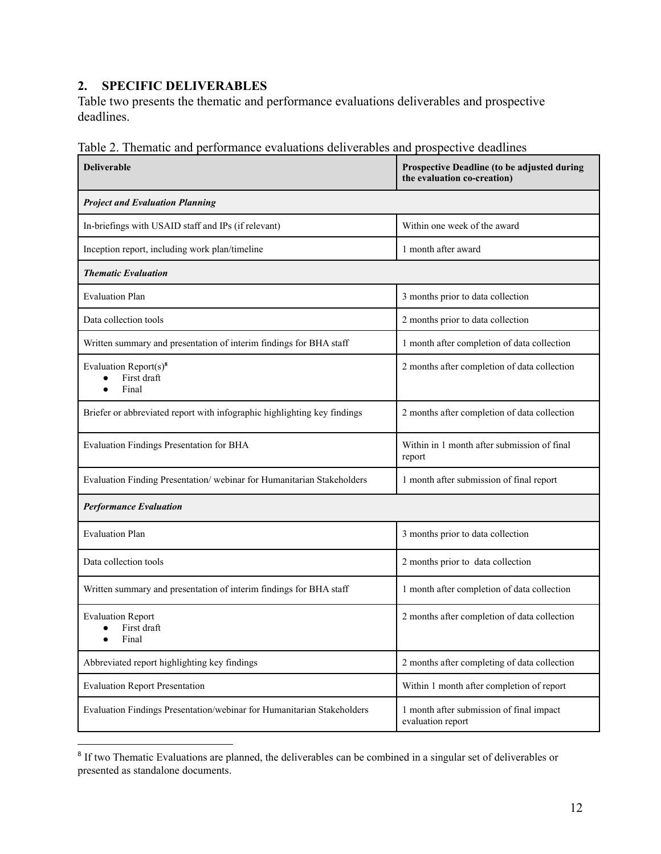# <span id="page-11-0"></span>**2. SPECIFIC DELIVERABLES**

Table two presents the thematic and performance evaluations deliverables and prospective deadlines.

| <b>Deliverable</b>                                                       | Prospective Deadline (to be adjusted during<br>the evaluation co-creation) |
|--------------------------------------------------------------------------|----------------------------------------------------------------------------|
| <b>Project and Evaluation Planning</b>                                   |                                                                            |
| In-briefings with USAID staff and IPs (if relevant)                      | Within one week of the award                                               |
| Inception report, including work plan/timeline                           | 1 month after award                                                        |
| <b>Thematic Evaluation</b>                                               |                                                                            |
| <b>Evaluation Plan</b>                                                   | 3 months prior to data collection                                          |
| Data collection tools                                                    | 2 months prior to data collection                                          |
| Written summary and presentation of interim findings for BHA staff       | 1 month after completion of data collection                                |
| Evaluation Report $(s)^8$<br>First draft<br>Final                        | 2 months after completion of data collection                               |
| Briefer or abbreviated report with infographic highlighting key findings | 2 months after completion of data collection                               |
| Evaluation Findings Presentation for BHA                                 | Within in 1 month after submission of final<br>report                      |
| Evaluation Finding Presentation/webinar for Humanitarian Stakeholders    | 1 month after submission of final report                                   |
| <b>Performance Evaluation</b>                                            |                                                                            |
| <b>Evaluation Plan</b>                                                   | 3 months prior to data collection                                          |
| Data collection tools                                                    | 2 months prior to data collection                                          |
| Written summary and presentation of interim findings for BHA staff       | 1 month after completion of data collection                                |
| <b>Evaluation Report</b><br>First draft<br>Final                         | 2 months after completion of data collection                               |
| Abbreviated report highlighting key findings                             | 2 months after completing of data collection                               |
| <b>Evaluation Report Presentation</b>                                    | Within 1 month after completion of report                                  |
| Evaluation Findings Presentation/webinar for Humanitarian Stakeholders   | 1 month after submission of final impact<br>evaluation report              |

Table 2. Thematic and performance evaluations deliverables and prospective deadlines

<sup>&</sup>lt;sup>8</sup> If two Thematic Evaluations are planned, the deliverables can be combined in a singular set of deliverables or presented as standalone documents.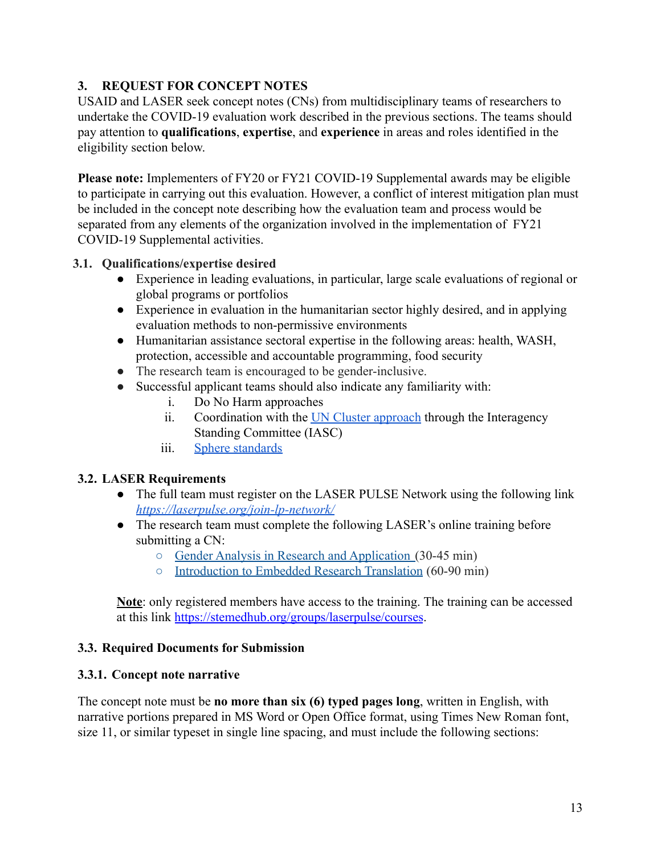# **3. REQUEST FOR CONCEPT NOTES**

USAID and LASER seek concept notes (CNs) from multidisciplinary teams of researchers to undertake the COVID-19 evaluation work described in the previous sections. The teams should pay attention to **qualifications**, **expertise**, and **experience** in areas and roles identified in the eligibility section below.

**Please note:** Implementers of FY20 or FY21 COVID-19 Supplemental awards may be eligible to participate in carrying out this evaluation. However, a conflict of interest mitigation plan must be included in the concept note describing how the evaluation team and process would be separated from any elements of the organization involved in the implementation of FY21 COVID-19 Supplemental activities.

### <span id="page-12-0"></span>**3.1. Qualifications/expertise desired**

- Experience in leading evaluations, in particular, large scale evaluations of regional or global programs or portfolios
- Experience in evaluation in the humanitarian sector highly desired, and in applying evaluation methods to non-permissive environments
- Humanitarian assistance sectoral expertise in the following areas: health, WASH, protection, accessible and accountable programming, food security
- The research team is encouraged to be gender-inclusive.
- Successful applicant teams should also indicate any familiarity with:
	- i. Do No Harm approaches
	- ii. Coordination with the [UN Cluster approach](https://www.humanitarianresponse.info/en/about-clusters/what-is-the-cluster-approach) through the Interagency Standing Committee (IASC)
	- iii. [Sphere standards](https://www.spherestandards.org/the-humanitarian-charter/)

# <span id="page-12-1"></span>**3.2. LASER Requirements**

- The full team must register on the LASER PULSE Network using the following link *<https://laserpulse.org/join-lp-network/>*
- The research team must complete the following LASER's online training before submitting a CN:
	- [Gender Analysis in Research and Application](https://stemedhub.org/courses/laser_pulse_gender_training_module) (30-45 min)
	- [Introduction to Embedded Research Translation](https://stemedhub.org/courses/laser_pulse_research_to_translation_training_module) (60-90 min)

**Note**: only registered members have access to the training. The training can be accessed at this link <https://stemedhub.org/groups/laserpulse/courses>.

#### <span id="page-12-2"></span>**3.3. Required Documents for Submission**

#### <span id="page-12-3"></span>**3.3.1. Concept note narrative**

The concept note must be **no more than six (6) typed pages long**, written in English, with narrative portions prepared in MS Word or Open Office format, using Times New Roman font, size 11, or similar typeset in single line spacing, and must include the following sections: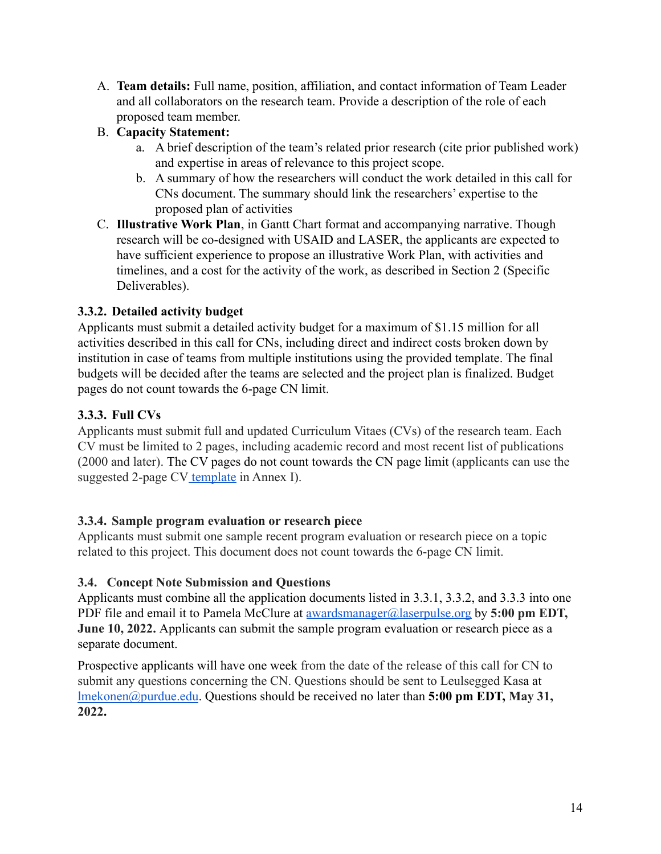A. **Team details:** Full name, position, affiliation, and contact information of Team Leader and all collaborators on the research team. Provide a description of the role of each proposed team member.

# B. **Capacity Statement:**

- a. A brief description of the team's related prior research (cite prior published work) and expertise in areas of relevance to this project scope.
- b. A summary of how the researchers will conduct the work detailed in this call for CNs document. The summary should link the researchers' expertise to the proposed plan of activities
- C. **Illustrative Work Plan**, in Gantt Chart format and accompanying narrative. Though research will be co-designed with USAID and LASER, the applicants are expected to have sufficient experience to propose an illustrative Work Plan, with activities and timelines, and a cost for the activity of the work, as described in Section 2 (Specific Deliverables).

# <span id="page-13-0"></span>**3.3.2. Detailed activity budget**

Applicants must submit a detailed activity budget for a maximum of \$1.15 million for all activities described in this call for CNs, including direct and indirect costs broken down by institution in case of teams from multiple institutions using the provided template. The final budgets will be decided after the teams are selected and the project plan is finalized. Budget pages do not count towards the 6-page CN limit.

# <span id="page-13-1"></span>**3.3.3. Full CVs**

Applicants must submit full and updated Curriculum Vitaes (CVs) of the research team. Each CV must be limited to 2 pages, including academic record and most recent list of publications (2000 and later). The CV pages do not count towards the CN page limit (applicants can use the suggested 2-page CV [template](https://docs.google.com/document/d/1ZIaVaWsMJdqZ0LShtWIed_gubLhq2IvVg9yaCqpE5cw/edit?usp=sharing) in Annex I).

# <span id="page-13-2"></span>**3.3.4. Sample program evaluation or research piece**

Applicants must submit one sample recent program evaluation or research piece on a topic related to this project. This document does not count towards the 6-page CN limit.

# **3.4. Concept Note Submission and Questions**

Applicants must combine all the application documents listed in 3.3.1, 3.3.2, and 3.3.3 into one PDF file and email it to Pamela McClure at [awardsmanager@laserpulse.org](mailto:awardsmanager@laserpulse.org) by **5:00 pm EDT, June 10, 2022.** Applicants can submit the sample program evaluation or research piece as a separate document.

Prospective applicants will have one week from the date of the release of this call for CN to submit any questions concerning the CN. Questions should be sent to Leulsegged Kasa at [lmekonen@purdue.edu](mailto:lmekonen@purdue.edu). Questions should be received no later than **5:00 pm EDT, May 31, 2022.**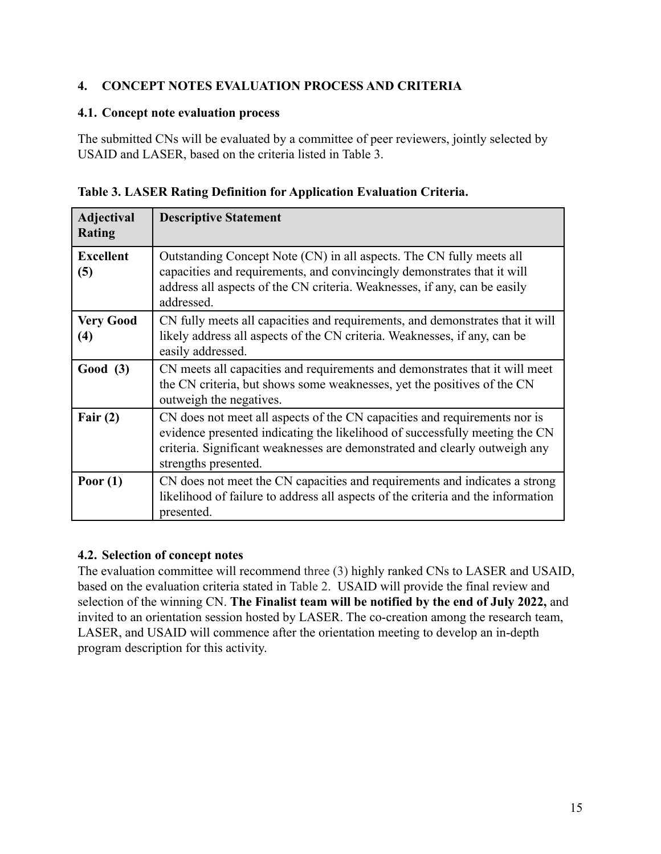# <span id="page-14-0"></span>**4. CONCEPT NOTES EVALUATION PROCESS AND CRITERIA**

#### <span id="page-14-1"></span>**4.1. Concept note evaluation process**

The submitted CNs will be evaluated by a committee of peer reviewers, jointly selected by USAID and LASER, based on the criteria listed in Table 3.

|   | Table 3. LASER Rating Definition for Application Evaluation Criteria. |  |
|---|-----------------------------------------------------------------------|--|
| . | $\overline{\phantom{a}}$                                              |  |

| <b>Adjectival</b><br>Rating           | <b>Descriptive Statement</b>                                                                                                                                                                                                                                   |
|---------------------------------------|----------------------------------------------------------------------------------------------------------------------------------------------------------------------------------------------------------------------------------------------------------------|
| <b>Excellent</b><br>(5)               | Outstanding Concept Note (CN) in all aspects. The CN fully meets all<br>capacities and requirements, and convincingly demonstrates that it will<br>address all aspects of the CN criteria. Weaknesses, if any, can be easily<br>addressed.                     |
| <b>Very Good</b><br>$\left( 4\right)$ | CN fully meets all capacities and requirements, and demonstrates that it will<br>likely address all aspects of the CN criteria. Weaknesses, if any, can be<br>easily addressed.                                                                                |
| Good (3)                              | CN meets all capacities and requirements and demonstrates that it will meet<br>the CN criteria, but shows some weaknesses, yet the positives of the CN<br>outweigh the negatives.                                                                              |
| Fair $(2)$                            | CN does not meet all aspects of the CN capacities and requirements nor is<br>evidence presented indicating the likelihood of successfully meeting the CN<br>criteria. Significant weaknesses are demonstrated and clearly outweigh any<br>strengths presented. |
| Poor $(1)$                            | CN does not meet the CN capacities and requirements and indicates a strong<br>likelihood of failure to address all aspects of the criteria and the information<br>presented.                                                                                   |

# <span id="page-14-2"></span>**4.2. Selection of concept notes**

The evaluation committee will recommend three (3) highly ranked CNs to LASER and USAID, based on the evaluation criteria stated in Table 2. USAID will provide the final review and selection of the winning CN. **The Finalist team will be notified by the end of July 2022,** and invited to an orientation session hosted by LASER. The co-creation among the research team, LASER, and USAID will commence after the orientation meeting to develop an in-depth program description for this activity.